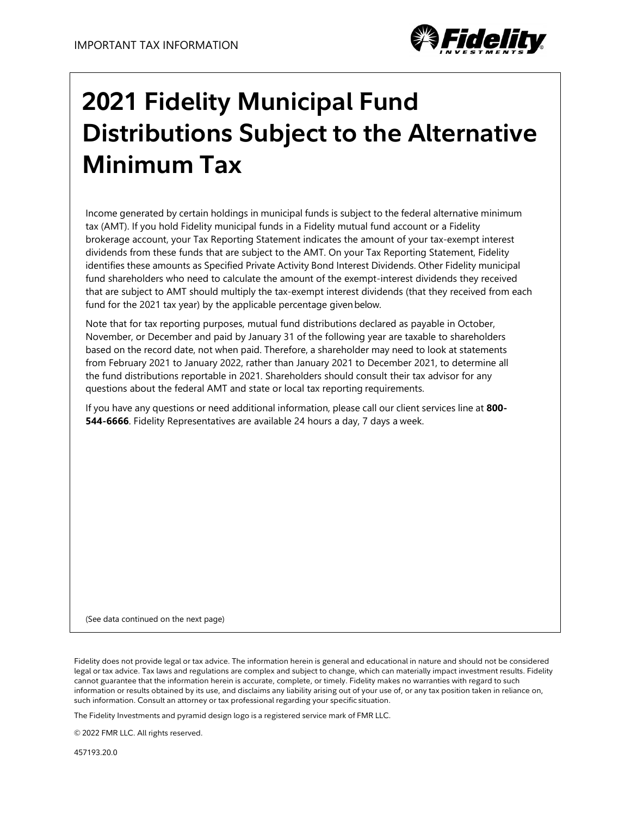

## **2021 Fidelity Municipal Fund Distributions Subject to the Alternative Minimum Tax**

Income generated by certain holdings in municipal funds is subject to the federal alternative minimum tax (AMT). If you hold Fidelity municipal funds in a Fidelity mutual fund account or a Fidelity brokerage account, your Tax Reporting Statement indicates the amount of your tax-exempt interest dividends from these funds that are subject to the AMT. On your Tax Reporting Statement, Fidelity identifies these amounts as Specified Private Activity Bond Interest Dividends. Other Fidelity municipal fund shareholders who need to calculate the amount of the exempt-interest dividends they received that are subject to AMT should multiply the tax-exempt interest dividends (that they received from each fund for the 2021 tax year) by the applicable percentage givenbelow.

Note that for tax reporting purposes, mutual fund distributions declared as payable in October, November, or December and paid by January 31 of the following year are taxable to shareholders based on the record date, not when paid. Therefore, a shareholder may need to look at statements from February 2021 to January 2022, rather than January 2021 to December 2021, to determine all the fund distributions reportable in 2021. Shareholders should consult their tax advisor for any questions about the federal AMT and state or local tax reporting requirements.

If you have any questions or need additional information, please call our client services line at **800- 544-6666**. Fidelity Representatives are available 24 hours a day, 7 days a week.

(See data continued on the next page)

Fidelity does not provide legal or tax advice. The information herein is general and educational in nature and should not be considered legal or tax advice. Tax laws and regulations are complex and subject to change, which can materially impact investment results. Fidelity cannot guarantee that the information herein is accurate, complete, or timely. Fidelity makes no warranties with regard to such information or results obtained by its use, and disclaims any liability arising out of your use of, or any tax position taken in reliance on, such information. Consult an attorney or tax professional regarding your specific situation.

The Fidelity Investments and pyramid design logo is a registered service mark of FMR LLC.

© 2022 FMR LLC. All rights reserved.

457193.20.0